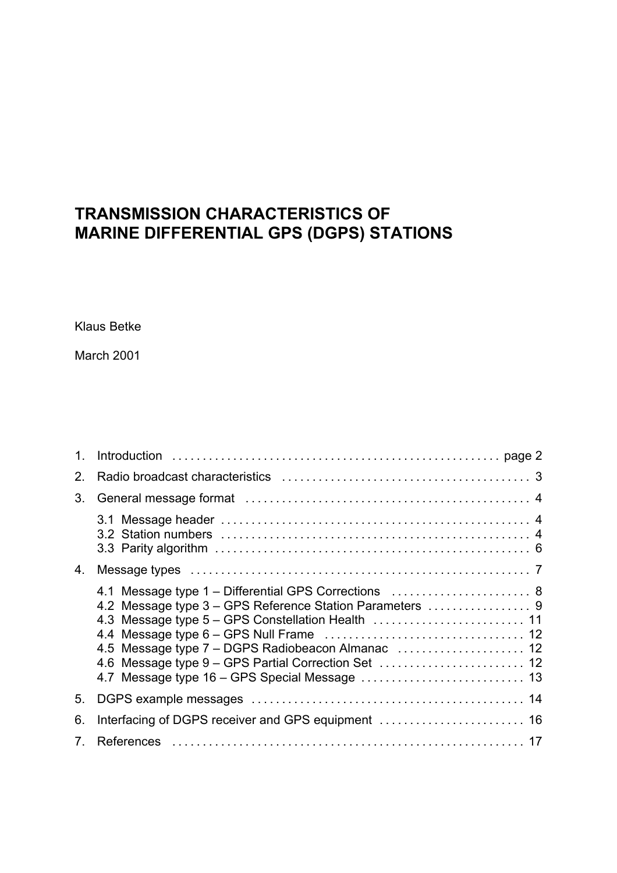# **TRANSMISSION CHARACTERISTICS OF MARINE DIFFERENTIAL GPS (DGPS) STATIONS**

Klaus Betke

March 2001

| 2.          |                                                                                                                                                                         |  |
|-------------|-------------------------------------------------------------------------------------------------------------------------------------------------------------------------|--|
| 3.          |                                                                                                                                                                         |  |
|             |                                                                                                                                                                         |  |
| 4.          |                                                                                                                                                                         |  |
|             | 4.1 Message type 1 - Differential GPS Corrections  8<br>4.2 Message type 3 - GPS Reference Station Parameters  9<br>4.6 Message type 9 - GPS Partial Correction Set  12 |  |
| 5.          |                                                                                                                                                                         |  |
| 6.          |                                                                                                                                                                         |  |
| $7^{\circ}$ |                                                                                                                                                                         |  |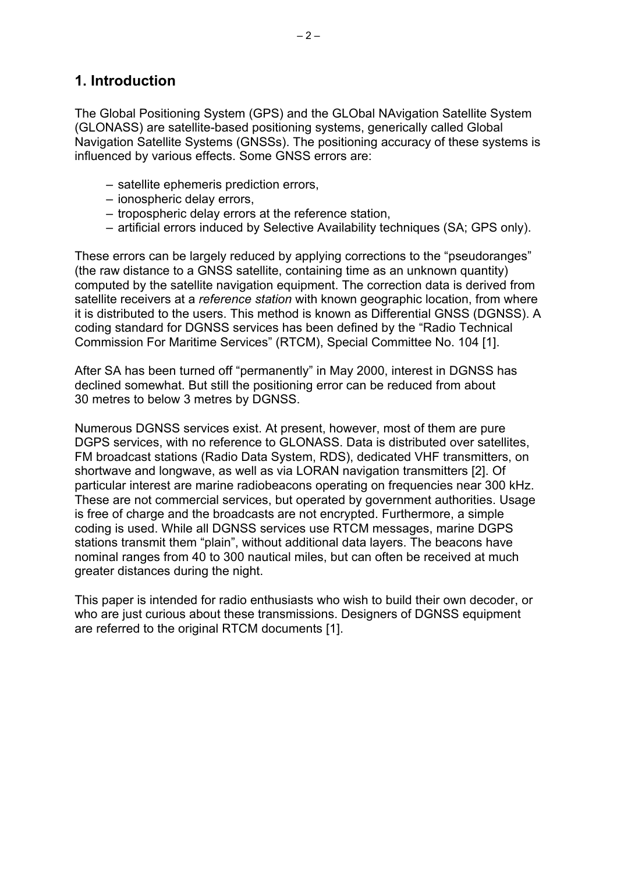# **1. Introduction**

The Global Positioning System (GPS) and the GLObal NAvigation Satellite System (GLONASS) are satellite-based positioning systems, generically called Global Navigation Satellite Systems (GNSSs). The positioning accuracy of these systems is influenced by various effects. Some GNSS errors are:

- satellite ephemeris prediction errors,
- ionospheric delay errors,
- tropospheric delay errors at the reference station,
- artificial errors induced by Selective Availability techniques (SA; GPS only).

These errors can be largely reduced by applying corrections to the "pseudoranges" (the raw distance to a GNSS satellite, containing time as an unknown quantity) computed by the satellite navigation equipment. The correction data is derived from satellite receivers at a *reference station* with known geographic location, from where it is distributed to the users. This method is known as Differential GNSS (DGNSS). A coding standard for DGNSS services has been defined by the "Radio Technical Commission For Maritime Services" (RTCM), Special Committee No. 104 [1].

After SA has been turned off "permanently" in May 2000, interest in DGNSS has declined somewhat. But still the positioning error can be reduced from about 30 metres to below 3 metres by DGNSS.

Numerous DGNSS services exist. At present, however, most of them are pure DGPS services, with no reference to GLONASS. Data is distributed over satellites, FM broadcast stations (Radio Data System, RDS), dedicated VHF transmitters, on shortwave and longwave, as well as via LORAN navigation transmitters [2]. Of particular interest are marine radiobeacons operating on frequencies near 300 kHz. These are not commercial services, but operated by government authorities. Usage is free of charge and the broadcasts are not encrypted. Furthermore, a simple coding is used. While all DGNSS services use RTCM messages, marine DGPS stations transmit them "plain", without additional data layers. The beacons have nominal ranges from 40 to 300 nautical miles, but can often be received at much greater distances during the night.

This paper is intended for radio enthusiasts who wish to build their own decoder, or who are just curious about these transmissions. Designers of DGNSS equipment are referred to the original RTCM documents [1].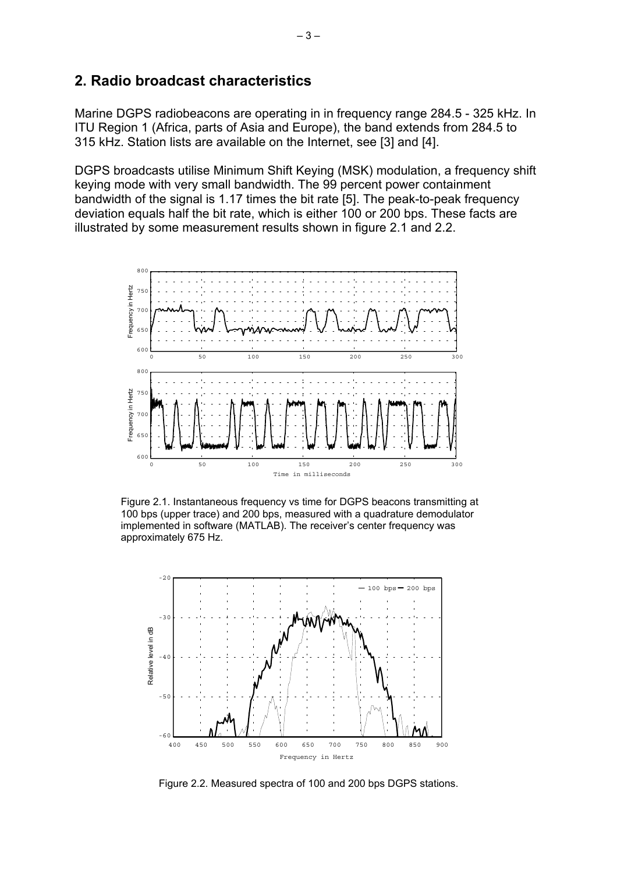### **2. Radio broadcast characteristics**

Marine DGPS radiobeacons are operating in in frequency range 284.5 - 325 kHz. In ITU Region 1 (Africa, parts of Asia and Europe), the band extends from 284.5 to 315 kHz. Station lists are available on the Internet, see [3] and [4].

DGPS broadcasts utilise Minimum Shift Keying (MSK) modulation, a frequency shift keying mode with very small bandwidth. The 99 percent power containment bandwidth of the signal is 1.17 times the bit rate [5]. The peak-to-peak frequency deviation equals half the bit rate, which is either 100 or 200 bps. These facts are illustrated by some measurement results shown in figure 2.1 and 2.2.



Figure 2.1. Instantaneous frequency vs time for DGPS beacons transmitting at 100 bps (upper trace) and 200 bps, measured with a quadrature demodulator implemented in software (MATLAB). The receiver's center frequency was approximately 675 Hz.



Figure 2.2. Measured spectra of 100 and 200 bps DGPS stations.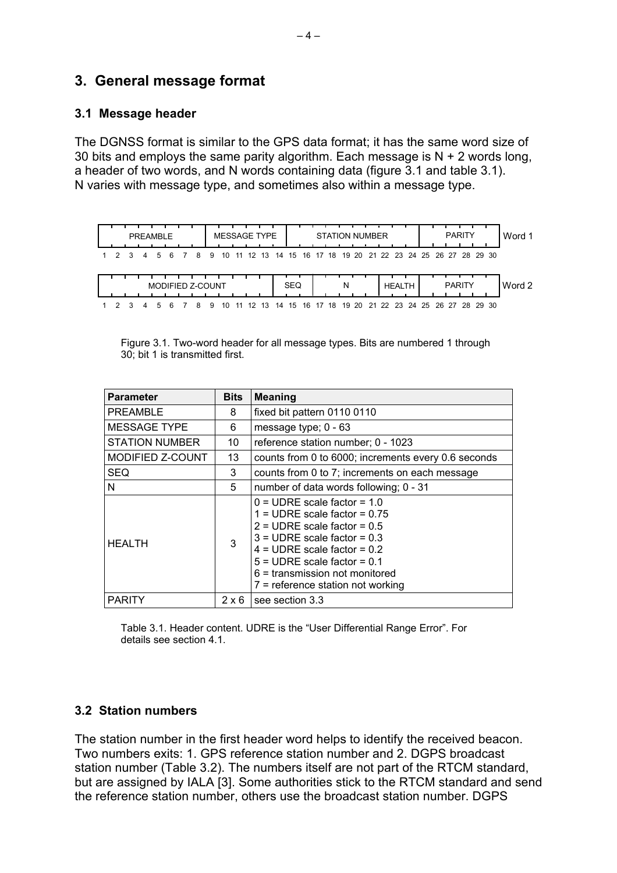# **3. General message format**

### **3.1 Message header**

The DGNSS format is similar to the GPS data format; it has the same word size of 30 bits and employs the same parity algorithm. Each message is  $N + 2$  words long, a header of two words, and N words containing data (figure 3.1 and table 3.1). N varies with message type, and sometimes also within a message type.



| Figure 3.1. Two-word header for all message types. Bits are numbered 1 through |  |
|--------------------------------------------------------------------------------|--|
| 30; bit 1 is transmitted first.                                                |  |

| <b>Parameter</b>         | <b>Bits</b>  | <b>Meaning</b>                                                                                                                                                                                                                                                                                             |
|--------------------------|--------------|------------------------------------------------------------------------------------------------------------------------------------------------------------------------------------------------------------------------------------------------------------------------------------------------------------|
| <b>PREAMBLE</b><br>8     |              | fixed bit pattern 0110 0110                                                                                                                                                                                                                                                                                |
| <b>MESSAGE TYPE</b><br>6 |              | message type; $0 - 63$                                                                                                                                                                                                                                                                                     |
| <b>STATION NUMBER</b>    | 10           | reference station number; 0 - 1023                                                                                                                                                                                                                                                                         |
| MODIFIED Z-COUNT         | 13           | counts from 0 to 6000; increments every 0.6 seconds                                                                                                                                                                                                                                                        |
| <b>SEQ</b>               | 3            | counts from 0 to 7; increments on each message                                                                                                                                                                                                                                                             |
| N                        | 5            | number of data words following; 0 - 31                                                                                                                                                                                                                                                                     |
| <b>HEALTH</b>            | 3            | $0 = \text{UDRE scale factor} = 1.0$<br>$1 = \text{UDRE scale factor} = 0.75$<br>$2 = \text{UDRE scale factor} = 0.5$<br>$3 = \text{UDRE scale factor} = 0.3$<br>$4 =$ UDRE scale factor = 0.2<br>$5 =$ UDRE scale factor = 0.1<br>$6$ = transmission not monitored<br>$7$ = reference station not working |
| <b>PARITY</b>            | $2 \times 6$ | see section 3.3                                                                                                                                                                                                                                                                                            |

Table 3.1. Header content. UDRE is the "User Differential Range Error". For details see section 4.1.

## **3.2 Station numbers**

The station number in the first header word helps to identify the received beacon. Two numbers exits: 1. GPS reference station number and 2. DGPS broadcast station number (Table 3.2). The numbers itself are not part of the RTCM standard, but are assigned by IALA [3]. Some authorities stick to the RTCM standard and send the reference station number, others use the broadcast station number. DGPS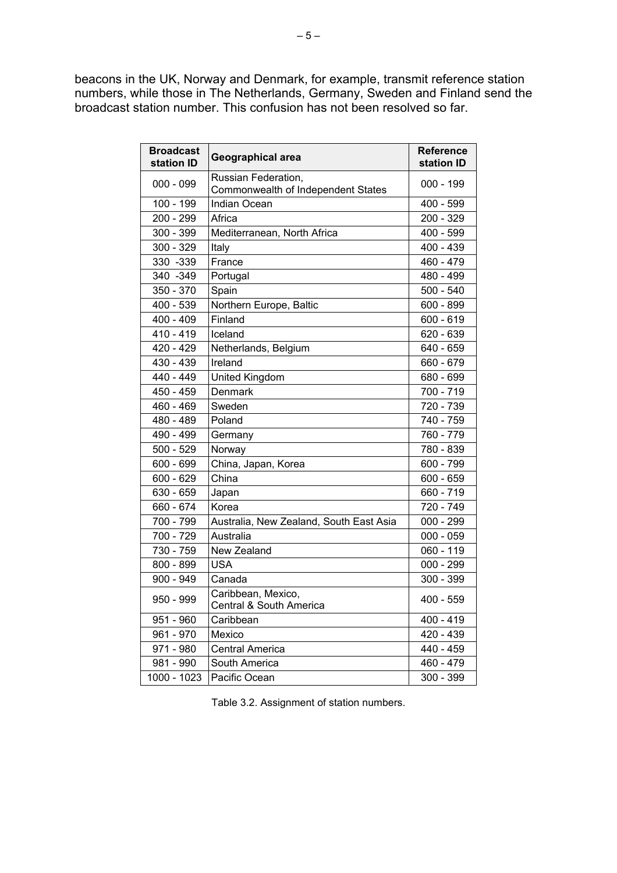beacons in the UK, Norway and Denmark, for example, transmit reference station numbers, while those in The Netherlands, Germany, Sweden and Finland send the broadcast station number. This confusion has not been resolved so far.

| <b>Broadcast</b><br>station ID | <b>Geographical area</b>                                  | <b>Reference</b><br>station ID |
|--------------------------------|-----------------------------------------------------------|--------------------------------|
| $000 - 099$                    | Russian Federation,<br>Commonwealth of Independent States | $000 - 199$                    |
| 100 - 199                      | <b>Indian Ocean</b>                                       | 400 - 599                      |
| 200 - 299                      | Africa                                                    | 200 - 329                      |
| 300 - 399                      | Mediterranean, North Africa                               | 400 - 599                      |
| 300 - 329                      | Italy                                                     | 400 - 439                      |
| 330 - 339                      | France                                                    | 460 - 479                      |
| 340 - 349                      | Portugal                                                  | 480 - 499                      |
| 350 - 370                      | Spain                                                     | $500 - 540$                    |
| 400 - 539                      | Northern Europe, Baltic                                   | 600 - 899                      |
| $400 - 409$                    | Finland                                                   | $600 - 619$                    |
| 410 - 419                      | Iceland                                                   | 620 - 639                      |
| 420 - 429                      | Netherlands, Belgium                                      | 640 - 659                      |
| 430 - 439                      | Ireland                                                   | 660 - 679                      |
| 440 - 449                      | United Kingdom                                            | 680 - 699                      |
| 450 - 459                      | Denmark                                                   | 700 - 719                      |
| 460 - 469                      | Sweden                                                    | 720 - 739                      |
| 480 - 489                      | Poland                                                    | 740 - 759                      |
| 490 - 499                      | Germany                                                   | 760 - 779                      |
| $500 - 529$                    | Norway                                                    | 780 - 839                      |
| 600 - 699                      | China, Japan, Korea                                       | 600 - 799                      |
| 600 - 629                      | China                                                     | 600 - 659                      |
| 630 - 659                      | Japan                                                     | 660 - 719                      |
| 660 - 674                      | Korea                                                     | 720 - 749                      |
| 700 - 799                      | Australia, New Zealand, South East Asia                   | $000 - 299$                    |
| 700 - 729                      | Australia                                                 | $000 - 059$                    |
| 730 - 759                      | New Zealand                                               | $060 - 119$                    |
| 800 - 899                      | <b>USA</b>                                                | $000 - 299$                    |
| $900 - 949$                    | Canada                                                    | 300 - 399                      |
| 950 - 999                      | Caribbean, Mexico,<br>Central & South America             | $400 - 559$                    |
| 951 - 960                      | Caribbean                                                 | 400 - 419                      |
| $961 - 970$                    | Mexico                                                    | 420 - 439                      |
| 971 - 980                      | <b>Central America</b>                                    | 440 - 459                      |
| 981 - 990                      | South America                                             | 460 - 479                      |
| 1000 - 1023                    | Pacific Ocean                                             | 300 - 399                      |

Table 3.2. Assignment of station numbers.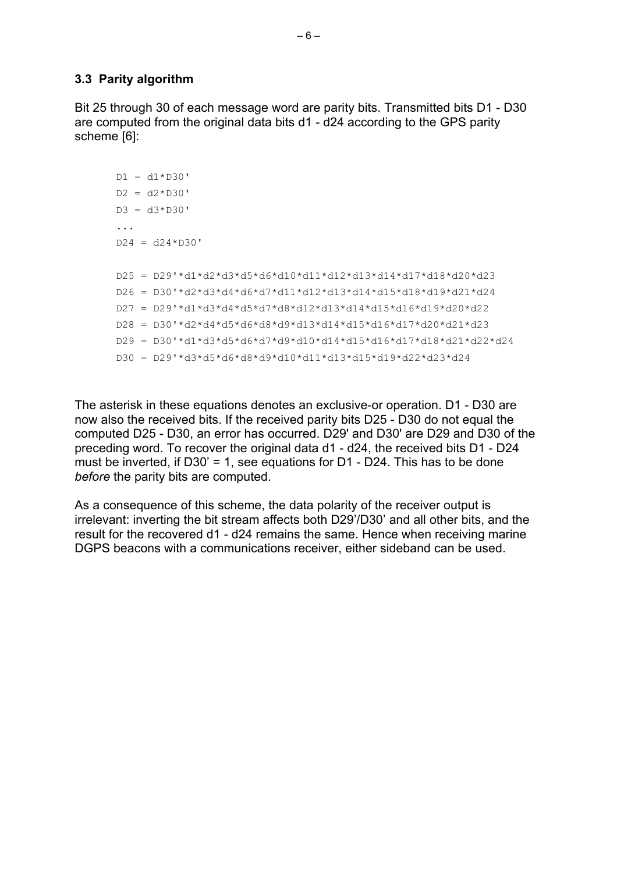#### **3.3 Parity algorithm**

Bit 25 through 30 of each message word are parity bits. Transmitted bits D1 - D30 are computed from the original data bits d1 - d24 according to the GPS parity scheme [6]:

```
DI = d1 * D30'D2 = d2*D30'D3 = d3*D30'...
D24 = d24*D30'D25 = D29'*d1*d2*d3*d5*d6*d10*d11*d12*d13*d14*d17*d18*d20*d23
D26 = D30'*d2*d3*d4*d6*d7*d11*d12*d13*d14*d15*d18*d19*d21*d24
D27 = D29'*d1*d3*d4*d5*d7*d8*d12*d13*d14*d15*d16*d19*d20*d22
D28 = D30'*d2*d4*d5*d6*d8*d9*d13*d14*d15*d16*d17*d20*d21*d23
D29 = D30'*d1*d3*d5*d6*d7*d9*d10*d14*d15*d16*d17*d18*d21*d22*d24
D30 = D29'*d3*d5*d6*d8*d9*d10*d11*d13*d15*d19*d22*d23*d24
```
The asterisk in these equations denotes an exclusive-or operation. D1 - D30 are now also the received bits. If the received parity bits D25 - D30 do not equal the computed D25 - D30, an error has occurred. D29' and D30' are D29 and D30 of the preceding word. To recover the original data d1 - d24, the received bits D1 - D24 must be inverted, if  $D30' = 1$ , see equations for  $D1 - D24$ . This has to be done *before* the parity bits are computed.

As a consequence of this scheme, the data polarity of the receiver output is irrelevant: inverting the bit stream affects both D29'/D30' and all other bits, and the result for the recovered d1 - d24 remains the same. Hence when receiving marine DGPS beacons with a communications receiver, either sideband can be used.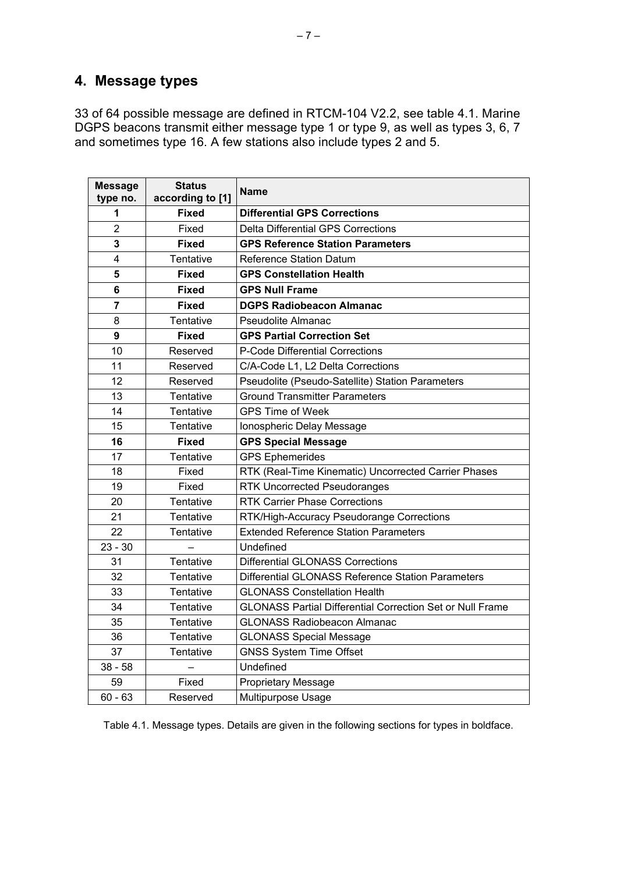# **4. Message types**

33 of 64 possible message are defined in RTCM-104 V2.2, see table 4.1. Marine DGPS beacons transmit either message type 1 or type 9, as well as types 3, 6, 7 and sometimes type 16. A few stations also include types 2 and 5.

| <b>Message</b><br>type no. | <b>Status</b><br>according to [1] | <b>Name</b>                                                      |
|----------------------------|-----------------------------------|------------------------------------------------------------------|
| 1                          | <b>Fixed</b>                      | <b>Differential GPS Corrections</b>                              |
| $\overline{2}$             | Fixed                             | <b>Delta Differential GPS Corrections</b>                        |
| 3                          | <b>Fixed</b>                      | <b>GPS Reference Station Parameters</b>                          |
| 4                          | Tentative                         | <b>Reference Station Datum</b>                                   |
| 5                          | <b>Fixed</b>                      | <b>GPS Constellation Health</b>                                  |
| 6                          | <b>Fixed</b>                      | <b>GPS Null Frame</b>                                            |
| $\overline{7}$             | <b>Fixed</b>                      | <b>DGPS Radiobeacon Almanac</b>                                  |
| 8                          | Tentative                         | <b>Pseudolite Almanac</b>                                        |
| 9                          | <b>Fixed</b>                      | <b>GPS Partial Correction Set</b>                                |
| 10                         | Reserved                          | P-Code Differential Corrections                                  |
| 11                         | Reserved                          | C/A-Code L1, L2 Delta Corrections                                |
| 12                         | Reserved                          | Pseudolite (Pseudo-Satellite) Station Parameters                 |
| 13                         | Tentative                         | <b>Ground Transmitter Parameters</b>                             |
| 14                         | Tentative                         | <b>GPS Time of Week</b>                                          |
| 15                         | Tentative                         | Ionospheric Delay Message                                        |
| 16                         | <b>Fixed</b>                      | <b>GPS Special Message</b>                                       |
| 17                         | Tentative                         | <b>GPS Ephemerides</b>                                           |
| 18                         | Fixed                             | RTK (Real-Time Kinematic) Uncorrected Carrier Phases             |
| 19                         | Fixed                             | <b>RTK Uncorrected Pseudoranges</b>                              |
| 20                         | Tentative                         | <b>RTK Carrier Phase Corrections</b>                             |
| 21                         | Tentative                         | RTK/High-Accuracy Pseudorange Corrections                        |
| 22                         | Tentative                         | <b>Extended Reference Station Parameters</b>                     |
| $23 - 30$                  |                                   | Undefined                                                        |
| 31                         | Tentative                         | <b>Differential GLONASS Corrections</b>                          |
| 32                         | Tentative                         | Differential GLONASS Reference Station Parameters                |
| 33                         | Tentative                         | <b>GLONASS Constellation Health</b>                              |
| 34                         | Tentative                         | <b>GLONASS Partial Differential Correction Set or Null Frame</b> |
| 35                         | Tentative                         | <b>GLONASS Radiobeacon Almanac</b>                               |
| 36                         | Tentative                         | <b>GLONASS Special Message</b>                                   |
| 37                         | Tentative                         | <b>GNSS System Time Offset</b>                                   |
| $38 - 58$                  |                                   | Undefined                                                        |
| 59                         | Fixed                             | <b>Proprietary Message</b>                                       |
| $60 - 63$                  | Reserved                          | Multipurpose Usage                                               |

Table 4.1. Message types. Details are given in the following sections for types in boldface.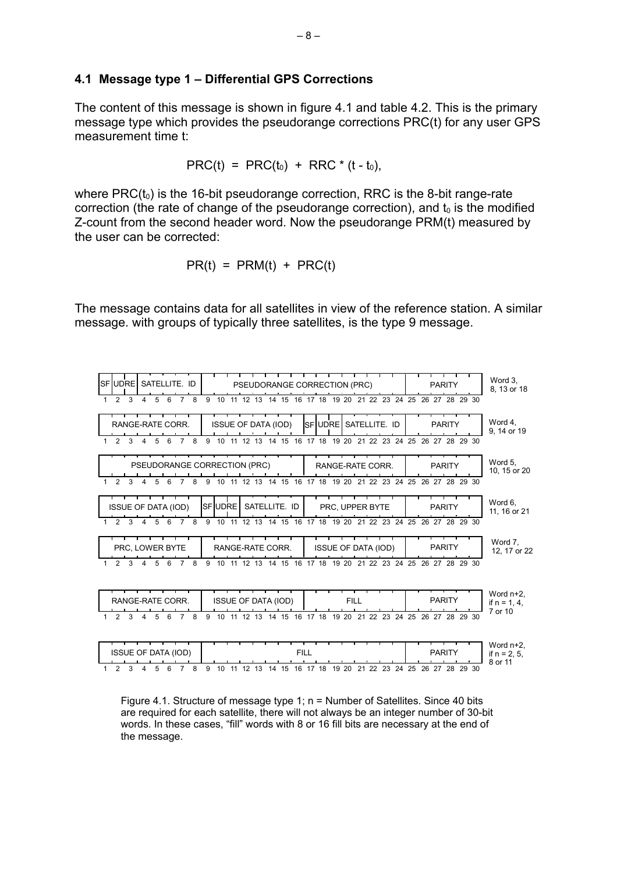#### **4.1 Message type 1 – Differential GPS Corrections**

The content of this message is shown in figure 4.1 and table 4.2. This is the primary message type which provides the pseudorange corrections PRC(t) for any user GPS measurement time t:

$$
PRC(t) = PRC(t_0) + RRC * (t - t_0),
$$

where  $PRC(t_0)$  is the 16-bit pseudorange correction, RRC is the 8-bit range-rate correction (the rate of change of the pseudorange correction), and  $t_0$  is the modified Z-count from the second header word. Now the pseudorange PRM(t) measured by the user can be corrected:

$$
PR(t) = PRM(t) + PRC(t)
$$

The message contains data for all satellites in view of the reference station. A similar message. with groups of typically three satellites, is the type 9 message.



Figure 4.1. Structure of message type 1; n = Number of Satellites. Since 40 bits are required for each satellite, there will not always be an integer number of 30-bit words. In these cases, "fill" words with 8 or 16 fill bits are necessary at the end of the message.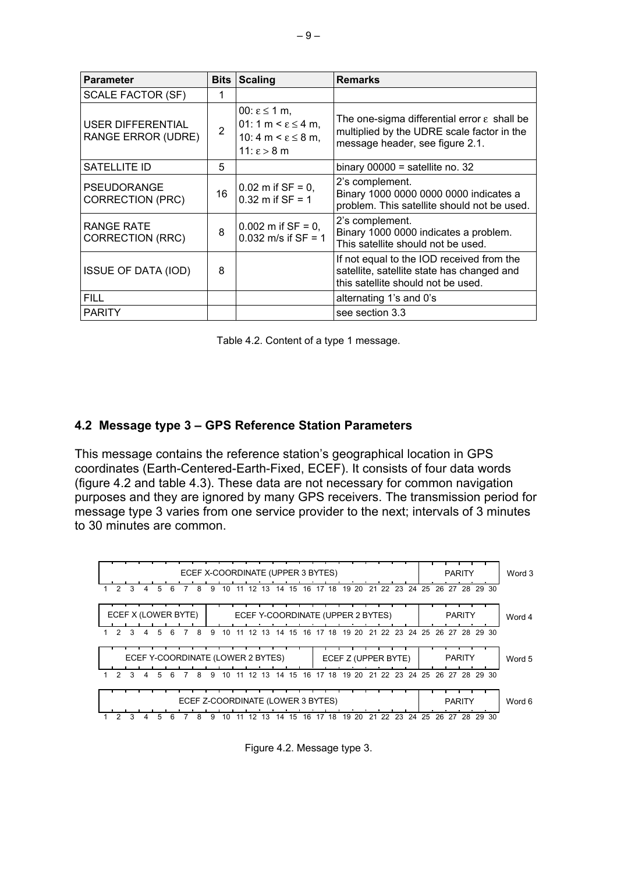| <b>Parameter</b>                               |    | <b>Bits Scaling</b>                                                                                                         | <b>Remarks</b>                                                                                                                           |
|------------------------------------------------|----|-----------------------------------------------------------------------------------------------------------------------------|------------------------------------------------------------------------------------------------------------------------------------------|
| <b>SCALE FACTOR (SF)</b>                       |    |                                                                                                                             |                                                                                                                                          |
| USER DIFFERENTIAL<br><b>RANGE ERROR (UDRE)</b> | 2  | 00: $\epsilon$ ≤ 1 m,<br>01: 1 m < $\varepsilon$ $\leq$ 4 m,<br>10: 4 m < $\varepsilon$ $\leq$ 8 m,<br>$11: \epsilon > 8$ m | The one-sigma differential error $\varepsilon$ shall be<br>multiplied by the UDRE scale factor in the<br>message header, see figure 2.1. |
| SATELLITE ID                                   | 5  |                                                                                                                             | binary $00000 =$ satellite no. 32                                                                                                        |
| <b>PSEUDORANGE</b><br><b>CORRECTION (PRC)</b>  | 16 | $0.02$ m if SF = 0,<br>$0.32$ m if SF = 1                                                                                   | 2's complement.<br>Binary 1000 0000 0000 0000 indicates a<br>problem. This satellite should not be used.                                 |
| RANGE RATE<br><b>CORRECTION (RRC)</b>          | 8  | $0.002$ m if SF = 0,<br>0.032 m/s if $SF = 1$                                                                               | 2's complement.<br>Binary 1000 0000 indicates a problem.<br>This satellite should not be used.                                           |
| <b>ISSUE OF DATA (IOD)</b>                     | 8  |                                                                                                                             | If not equal to the IOD received from the<br>satellite, satellite state has changed and<br>this satellite should not be used.            |
| <b>FILL</b>                                    |    |                                                                                                                             | alternating 1's and 0's                                                                                                                  |
| <b>PARITY</b>                                  |    |                                                                                                                             | see section 3.3                                                                                                                          |

Table 4.2. Content of a type 1 message.

#### **4.2 Message type 3 – GPS Reference Station Parameters**

This message contains the reference station's geographical location in GPS coordinates (Earth-Centered-Earth-Fixed, ECEF). It consists of four data words (figure 4.2 and table 4.3). These data are not necessary for common navigation purposes and they are ignored by many GPS receivers. The transmission period for message type 3 varies from one service provider to the next; intervals of 3 minutes to 30 minutes are common.



Figure 4.2. Message type 3.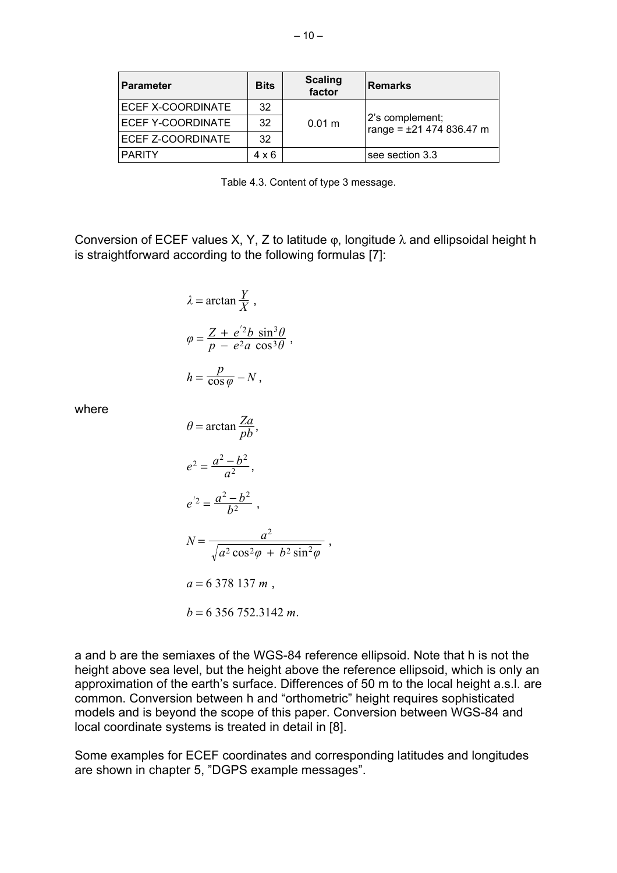| <b>Parameter</b>  | <b>Bits</b> | <b>Scaling</b><br>factor | <b>Remarks</b>                              |  |
|-------------------|-------------|--------------------------|---------------------------------------------|--|
| ECEF X-COORDINATE | 32          | 0.01 m                   |                                             |  |
| ECEF Y-COORDINATE | 32          |                          | 2's complement;<br>range = ±21 474 836.47 m |  |
| ECEF Z-COORDINATE | 32          |                          |                                             |  |
| <b>PARITY</b>     | 4 x 6       |                          | see section 3.3                             |  |

Table 4.3. Content of type 3 message.

Conversion of ECEF values X, Y, Z to latitude  $\varphi$ , longitude  $\lambda$  and ellipsoidal height h is straightforward according to the following formulas [7]:

$$
\lambda = \arctan \frac{Y}{X},
$$
  
\n
$$
\varphi = \frac{Z + e^{2}b \sin^{3} \theta}{p - e^{2}a \cos^{3} \theta},
$$
  
\n
$$
h = \frac{p}{\cos \varphi} - N,
$$

where

$$
\theta = \arctan \frac{Za}{pb},
$$
  
\n
$$
e^{2} = \frac{a^{2} - b^{2}}{a^{2}},
$$
  
\n
$$
e^{2} = \frac{a^{2} - b^{2}}{b^{2}},
$$
  
\n
$$
N = \frac{a^{2}}{\sqrt{a^{2} \cos^{2} \varphi + b^{2} \sin^{2} \varphi}},
$$
  
\n
$$
a = 6 \ 378 \ 137 \ m,
$$
  
\n
$$
b = 6 \ 356 \ 752.3142 \ m.
$$

a and b are the semiaxes of the WGS-84 reference ellipsoid. Note that h is not the height above sea level, but the height above the reference ellipsoid, which is only an approximation of the earth's surface. Differences of 50 m to the local height a.s.l. are common. Conversion between h and "orthometric" height requires sophisticated models and is beyond the scope of this paper. Conversion between WGS-84 and local coordinate systems is treated in detail in [8].

Some examples for ECEF coordinates and corresponding latitudes and longitudes are shown in chapter 5, "DGPS example messages".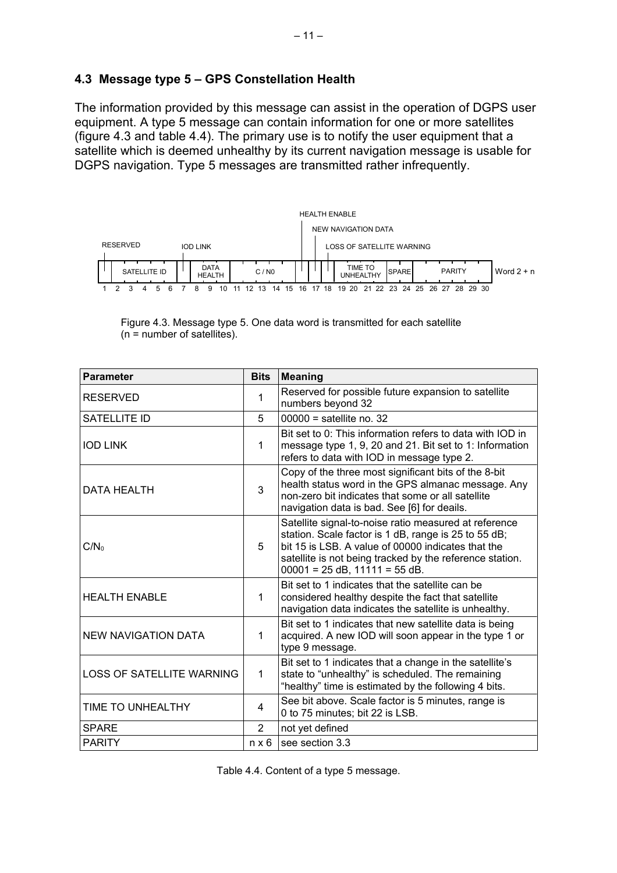### **4.3 Message type 5 – GPS Constellation Health**

The information provided by this message can assist in the operation of DGPS user equipment. A type 5 message can contain information for one or more satellites (figure 4.3 and table 4.4). The primary use is to notify the user equipment that a satellite which is deemed unhealthy by its current navigation message is usable for DGPS navigation. Type 5 messages are transmitted rather infrequently.



Figure 4.3. Message type 5. One data word is transmitted for each satellite (n = number of satellites).

| <b>Parameter</b>                 | <b>Bits</b>    | <b>Meaning</b>                                                                                                                                                                                                                                                     |
|----------------------------------|----------------|--------------------------------------------------------------------------------------------------------------------------------------------------------------------------------------------------------------------------------------------------------------------|
| <b>RESERVED</b>                  | 1              | Reserved for possible future expansion to satellite<br>numbers beyond 32                                                                                                                                                                                           |
| SATELLITE ID                     | 5              | $00000 =$ satellite no. 32                                                                                                                                                                                                                                         |
| <b>IOD LINK</b>                  | 1              | Bit set to 0: This information refers to data with IOD in<br>message type 1, 9, 20 and 21. Bit set to 1: Information<br>refers to data with IOD in message type 2.                                                                                                 |
| DATA HEALTH                      | 3              | Copy of the three most significant bits of the 8-bit<br>health status word in the GPS almanac message. Any<br>non-zero bit indicates that some or all satellite<br>navigation data is bad. See [6] for deails.                                                     |
| $C/N_0$                          | 5              | Satellite signal-to-noise ratio measured at reference<br>station. Scale factor is 1 dB, range is 25 to 55 dB;<br>bit 15 is LSB. A value of 00000 indicates that the<br>satellite is not being tracked by the reference station.<br>$00001 = 25$ dB, 11111 = 55 dB. |
| <b>HEALTH ENABLE</b>             | 1              | Bit set to 1 indicates that the satellite can be<br>considered healthy despite the fact that satellite<br>navigation data indicates the satellite is unhealthy.                                                                                                    |
| <b>NEW NAVIGATION DATA</b>       | 1              | Bit set to 1 indicates that new satellite data is being<br>acquired. A new IOD will soon appear in the type 1 or<br>type 9 message.                                                                                                                                |
| <b>LOSS OF SATELLITE WARNING</b> | 1              | Bit set to 1 indicates that a change in the satellite's<br>state to "unhealthy" is scheduled. The remaining<br>"healthy" time is estimated by the following 4 bits.                                                                                                |
| TIME TO UNHEALTHY                | 4              | See bit above. Scale factor is 5 minutes, range is<br>0 to 75 minutes; bit 22 is LSB.                                                                                                                                                                              |
| <b>SPARE</b>                     | $\overline{2}$ | not yet defined                                                                                                                                                                                                                                                    |
| <b>PARITY</b>                    | $n \times 6$   | see section 3.3                                                                                                                                                                                                                                                    |

Table 4.4. Content of a type 5 message.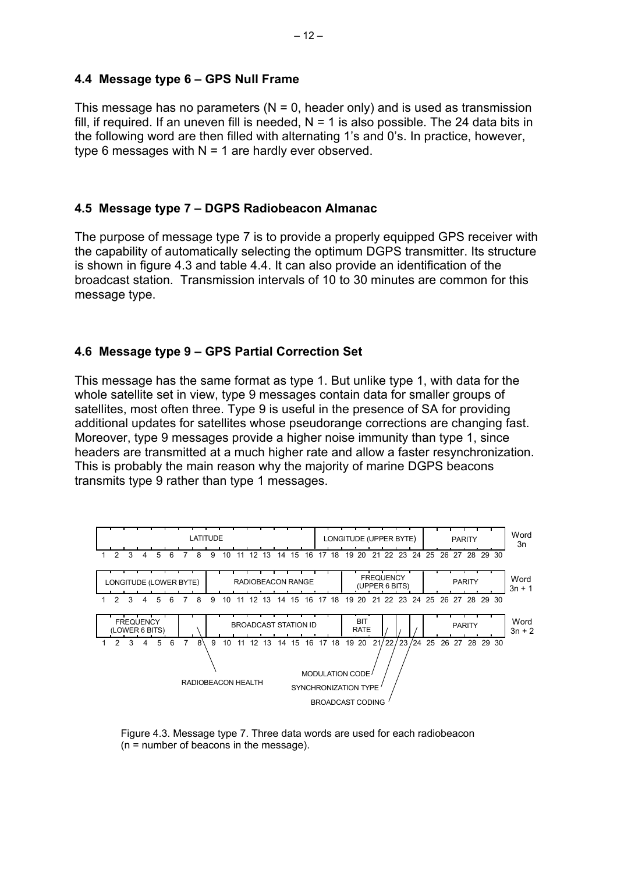#### **4.4 Message type 6 – GPS Null Frame**

This message has no parameters ( $N = 0$ , header only) and is used as transmission fill, if required. If an uneven fill is needed,  $N = 1$  is also possible. The 24 data bits in the following word are then filled with alternating 1's and 0's. In practice, however, type 6 messages with  $N = 1$  are hardly ever observed.

### **4.5 Message type 7 – DGPS Radiobeacon Almanac**

The purpose of message type 7 is to provide a properly equipped GPS receiver with the capability of automatically selecting the optimum DGPS transmitter. Its structure is shown in figure 4.3 and table 4.4. It can also provide an identification of the broadcast station. Transmission intervals of 10 to 30 minutes are common for this message type.

### **4.6 Message type 9 – GPS Partial Correction Set**

This message has the same format as type 1. But unlike type 1, with data for the whole satellite set in view, type 9 messages contain data for smaller groups of satellites, most often three. Type 9 is useful in the presence of SA for providing additional updates for satellites whose pseudorange corrections are changing fast. Moreover, type 9 messages provide a higher noise immunity than type 1, since headers are transmitted at a much higher rate and allow a faster resynchronization. This is probably the main reason why the majority of marine DGPS beacons transmits type 9 rather than type 1 messages.



Figure 4.3. Message type 7. Three data words are used for each radiobeacon (n = number of beacons in the message).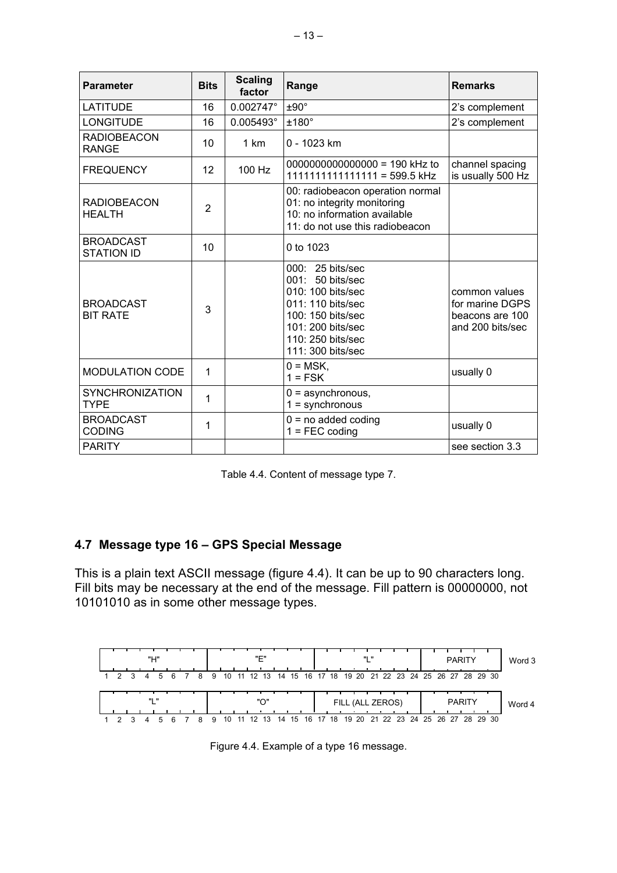| <b>Parameter</b>                      | <b>Bits</b>    | <b>Scaling</b><br>factor | Range                                                                                                                                                                        | <b>Remarks</b>                                                          |
|---------------------------------------|----------------|--------------------------|------------------------------------------------------------------------------------------------------------------------------------------------------------------------------|-------------------------------------------------------------------------|
| <b>LATITUDE</b>                       | 16             | $0.002747^{\circ}$       | $±90^{\circ}$                                                                                                                                                                | 2's complement                                                          |
| <b>LONGITUDE</b>                      | 16             | 0.005493°                | $±180^\circ$                                                                                                                                                                 | 2's complement                                                          |
| <b>RADIOBEACON</b><br><b>RANGE</b>    | 10             | 1 km                     | 0 - 1023 km                                                                                                                                                                  |                                                                         |
| <b>FREQUENCY</b>                      | 12             | 100 Hz                   | 0000000000000000 = 190 kHz to<br>1111111111111111 = 599.5 kHz                                                                                                                | channel spacing<br>is usually 500 Hz                                    |
| <b>RADIOBEACON</b><br><b>HEALTH</b>   | $\overline{2}$ |                          | 00: radiobeacon operation normal<br>01: no integrity monitoring<br>10: no information available<br>11: do not use this radiobeacon                                           |                                                                         |
| <b>BROADCAST</b><br><b>STATION ID</b> | 10             |                          | 0 to 1023                                                                                                                                                                    |                                                                         |
| <b>BROADCAST</b><br><b>BIT RATE</b>   | 3              |                          | 000: 25 bits/sec<br>$001: 50 \text{ bits/sec}$<br>010: 100 bits/sec<br>011: 110 bits/sec<br>100: 150 bits/sec<br>101: 200 bits/sec<br>110: 250 bits/sec<br>111: 300 bits/sec | common values<br>for marine DGPS<br>beacons are 100<br>and 200 bits/sec |
| <b>MODULATION CODE</b>                | 1              |                          | $0 = \text{MSK}$ ,<br>$1 = FSK$                                                                                                                                              | usually 0                                                               |
| <b>SYNCHRONIZATION</b><br><b>TYPE</b> | 1              |                          | $0 =$ asynchronous,<br>$1 =$ synchronous                                                                                                                                     |                                                                         |
| <b>BROADCAST</b><br><b>CODING</b>     | 1              |                          | $0 = no$ added coding<br>$1 = FEC coding$                                                                                                                                    | usually 0                                                               |
| <b>PARITY</b>                         |                |                          |                                                                                                                                                                              | see section 3.3                                                         |

Table 4.4. Content of message type 7.

## **4.7 Message type 16 – GPS Special Message**

This is a plain text ASCII message (figure 4.4). It can be up to 90 characters long. Fill bits may be necessary at the end of the message. Fill pattern is 00000000, not 10101010 as in some other message types.



Figure 4.4. Example of a type 16 message.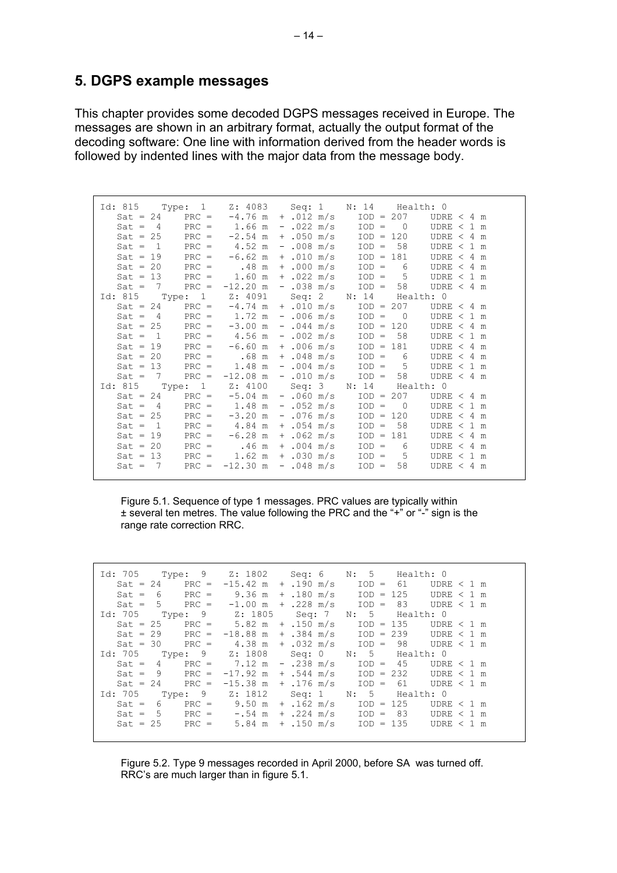# **5. DGPS example messages**

This chapter provides some decoded DGPS messages received in Europe. The messages are shown in an arbitrary format, actually the output format of the decoding software: One line with information derived from the header words is followed by indented lines with the major data from the message body.

|                                                       |  |  | Id: 815 Type: 1 Z: 4083 Seq: 1 N: 14 Health: 0                               |
|-------------------------------------------------------|--|--|------------------------------------------------------------------------------|
| $Sat = 24$ PRC = $-4.76$ m + .012 m/s                 |  |  | $IOD = 207$ $UDRE < 4 m$                                                     |
| $Sat = 4$ PRC = 1.66 m - 022 m/s                      |  |  | $IOD = 0$<br>UDRE $<$ 1 m                                                    |
| $Sat = 25$ PRC = $-2.54$ m + .050 m/s                 |  |  | $IOD = 120$<br>UDRE $< 4$ m                                                  |
| $Sat = 1$ PRC = $4.52$ m - .008 m/s                   |  |  | $IOD = 58$<br>UDRE $<$ 1 m                                                   |
| $Sat = 19$ $PRC = -6.62 \text{ m} + .010 \text{ m/s}$ |  |  | $IOD = 181$<br>UDRE $< 4$ m                                                  |
|                                                       |  |  | $Sat = 20$ PRC = .48 m + .000 m/s IOD = 6<br>UDRE $< 4 m$                    |
| $Sat = 13$ PRC = 1.60 m + .022 m/s                    |  |  | $IOD = 5$<br>UDRE $<$ 1 m                                                    |
| $Sat = 7$ PRC = $-12.20$ m                            |  |  | $-.038 \text{ m/s}$ $IOD = 58$ UDRE < 4 m                                    |
|                                                       |  |  | Id: 815 Type: 1 Z: 4091 Seq: 2 N: 14 Health: 0                               |
| $Sat = 24$ PRC = $-4.74$ m + .010 m/s                 |  |  | $IOD = 207$ $UDRE < 4 m$                                                     |
|                                                       |  |  | $Sat = 4$ PRC = 1.72 m - .006 m/s IOD = 0<br>UDRE $<$ 1 m                    |
|                                                       |  |  | $Sat = 25$ PRC = $-3.00$ m - $.044$ m/s IOD = 120<br>UDRE $< 4 m$            |
| $Sat = 1$ PRC = 4.56 m - .002 m/s                     |  |  | $IOD = 58$<br>UDRE $<$ 1 m                                                   |
| $Sat = 19$ PRC = $-6.60$ m + .006 m/s                 |  |  | $IOD = 181$<br>UDRE $< 4 m$                                                  |
|                                                       |  |  | $Sat = 20$ PRC = .68 m + .048 m/s IOD = 6<br>UDRE $< 4$ m                    |
|                                                       |  |  | $Sat = 13$ $PRC = 1.48 \text{ m} - .004 \text{ m/s}$ $IOD = 5$<br>UDRE < 1 m |
|                                                       |  |  | Sat = $7$ PRC = $-12.08$ m - $.010$ m/s IOD = 58 UDRE < 4 m                  |
|                                                       |  |  | Id: 815 Type: 1 Z: 4100 Seq: 3 N: 14 Health: 0                               |
| $Sat = 24$ PRC = $-5.04$ m - .060 m/s                 |  |  | $IOD = 207$ $UDRE < 4 m$                                                     |
| $Sat = 4$ PRC = 1.48 m - .052 m/s                     |  |  | $IOD = 0$<br>UDRE $<$ 1 m                                                    |
| $Sat = 25$ PRC = $-3.20$ m - .076 m/s                 |  |  | $IOD = 120$<br>UDRE $< 4 m$                                                  |
| $Sat = 1$ PRC = $4.84 \text{ m} + .054 \text{ m/s}$   |  |  | $IOD = 58$<br>UDRE < 1 m                                                     |
| $Sat = 19$ $PRC = -6.28 \text{ m} + .062 \text{ m/s}$ |  |  | $IOD = 181$<br>UDRE $< 4 m$                                                  |
| $Sat = 20$ PRC = .46 m + .004 m/s                     |  |  | $\text{IOD} = 6$<br>UDRE $< 4$ m                                             |
| $Sat = 13$ PRC = 1.62 m + .030 m/s                    |  |  | $IOD = 5$<br>UDRE $<$ 1 m                                                    |
| $Sat = 7$ PRC = $-12.30$ m - .048 m/s                 |  |  | $IOD = 58$<br>UDRE $< 4$ m                                                   |
|                                                       |  |  |                                                                              |

Figure 5.1. Sequence of type 1 messages. PRC values are typically within ± several ten metres. The value following the PRC and the "+" or "-" sign is the range rate correction RRC.

| Id: 705 Type: 9 Z: 1802 Seq: 6 N: 5 Health: 0 |                                                                            |
|-----------------------------------------------|----------------------------------------------------------------------------|
|                                               | Sat = 24 PRC = $-15.42$ m + .190 m/s IOD = 61 UDRE < 1 m                   |
|                                               | Sat = $6$ PRC = $9.36$ m + $.180$ m/s IOD = 125 UDRE < 1 m                 |
|                                               | Sat = $5$ PRC = $-1.00$ m + .228 m/s IOD = 83 UDRE < 1 m                   |
| Id: 705 Type: 9 Z: 1805 Seq: 7 N: 5 Health: 0 |                                                                            |
|                                               | $Sat = 25$ PRC = $5.82 \text{ m} + .150 \text{ m/s}$ IOD = 135 UDRE < 1 m  |
|                                               | Sat = 29 PRC = $-18.88$ m + $.384$ m/s IOD = 239 UDRE < 1 m                |
|                                               | Sat = 30 PRC = $4.38 \text{ m} + .032 \text{ m/s}$ IOD = 98 UDRE < 1 m     |
|                                               | Id: 705 Type: 9 Z: 1808 Seq: 0 N: 5 Health: 0                              |
|                                               | Sat = $4$ PRC = $7.12$ m - .238 m/s IOD = $45$ UDRE < 1 m                  |
|                                               | Sat = 9 PRC = $-17.92 \text{ m}$ + $.544 \text{ m/s}$ IOD = 232 UDRE < 1 m |
|                                               | Sat = 24 PRC = $-15.38$ m + $.176$ m/s IOD = 61 UDRE < 1 m                 |
| Id: 705 Type: 9 Z: 1812 Seq: 1 N: 5 Health: 0 |                                                                            |
|                                               | Sat = $6$ PRC = $9.50 \text{ m} + .162 \text{ m/s}$ IOD = 125 UDRE < 1 m   |
|                                               | Sat = $5$ PRC = $-.54$ m + $.224$ m/s IOD = 83 UDRE < 1 m                  |
|                                               | Sat = 25 PRC = $5.84 \text{ m} + .150 \text{ m/s}$ IOD = 135 UDRE < 1 m    |
|                                               |                                                                            |

Figure 5.2. Type 9 messages recorded in April 2000, before SA was turned off. RRC's are much larger than in figure 5.1.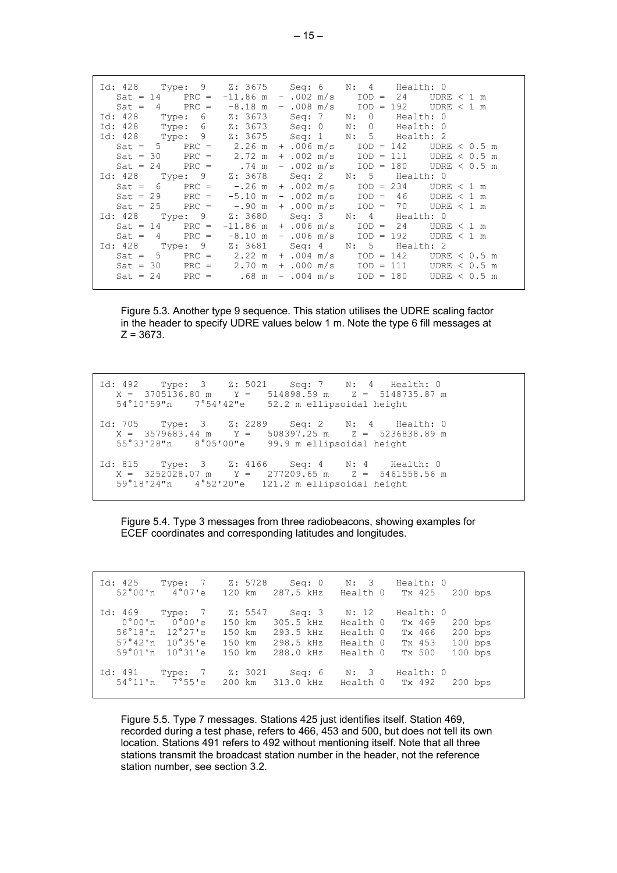| Id: 428 Type: 9 Z: 3675 Seq: 6 N: 4 Health: 0<br>Sat = 14 PRC = $-11.86$ m - .002 m/s IOD = 24 UDRE < 1 m<br>Sat = $4$ PRC = $-8.18$ m - $.008$ m/s IOD = 192 UDRE < 1 m |  |  |                |
|--------------------------------------------------------------------------------------------------------------------------------------------------------------------------|--|--|----------------|
| Id: 428 Type: 6 Z: 3673 Seq: 7 N: 0 Health: 0                                                                                                                            |  |  |                |
| Id: 428 Type: 6 Z: 3673 Seq: 0 N: 0 Health: 0                                                                                                                            |  |  |                |
| Id: 428 Type: 9 Z: 3675 Seq: 1 N: 5 Health: 2                                                                                                                            |  |  |                |
| Sat = $5$ PRC = $2.26$ m + $.006$ m/s IOD = 142 UDRE < 0.5 m                                                                                                             |  |  |                |
| Sat = 30 PRC = $2.72 \text{ m} + .002 \text{ m/s}$ IOD = 111 UDRE < 0.5 m                                                                                                |  |  |                |
| $Sat = 24$ PRC = .74 m - .002 m/s IOD = 180 UDRE < 0.5 m                                                                                                                 |  |  |                |
| Id: 428 Type: 9 Z: 3678 Seq: 2 N: 5 Health: 0                                                                                                                            |  |  |                |
| Sat = $6$ PRC = $-.26$ m + $.002$ m/s IOD = 234 UDRE < 1 m                                                                                                               |  |  |                |
| Sat = 29 PRC = $-5.10$ m - $.002$ m/s IOD = 46 UDRE < 1 m                                                                                                                |  |  |                |
| Sat = $25$ PRC = $-.90$ m + $.000$ m/s IOD = 70 UDRE < 1 m                                                                                                               |  |  |                |
| Id: 428 Type: 9 Z: 3680 Seq: 3 N: 4 Health: 0                                                                                                                            |  |  |                |
| $Sat = 14$ PRC = $-11.86$ m + .006 m/s IOD = 24                                                                                                                          |  |  | UDRE $<$ 1 m   |
| Sat = $4$ PRC = $-8.10$ m - .006 m/s IOD = 192 UDRE < 1 m                                                                                                                |  |  |                |
| Id: 428 Type: 9 Z: 3681 Seq: 4 N: 5 Health: 2                                                                                                                            |  |  |                |
| $Sat = 5$ PRC = 2.22 m + .004 m/s IOD = 142                                                                                                                              |  |  | UDRE $<$ 0.5 m |
| $Sat = 30$ $PRC = 2.70 \text{ m} + .000 \text{ m/s}$ $IOD = 111$                                                                                                         |  |  | UDRE $<$ 0.5 m |
| $Sat = 24$ PRC = .68 m - .004 m/s IOD = 180                                                                                                                              |  |  | UDRE $<$ 0.5 m |
|                                                                                                                                                                          |  |  |                |

Figure 5.3. Another type 9 sequence. This station utilises the UDRE scaling factor in the header to specify UDRE values below 1 m. Note the type 6 fill messages at  $Z = 3673$ .

Id: 492 Type: 3 Z: 5021 Seq: 7 N: 4 Health: 0 X = 3705136.80 m Y = 514898.59 m Z = 5148735.87 m 54°10'59"n 7°54'42"e 52.2 m ellipsoidal height Id: 705 Type: 3 Z: 2289 Seq: 2 N: 4 Health: 0 X = 3579683.44 m Y = 508397.25 m Z = 5236838.89 m 55°33'28"n 8°05'00"e 99.9 m ellipsoidal height Id: 815 Type: 3 Z: 4166 Seq: 4 N: 4 Health: 0  $X = 3252028.07 \text{ m}$   $Y = 277209.65 \text{ m}$   $Z = 5461558.56 \text{ m}$ 59°18'24"n 4°52'20"e 121.2 m ellipsoidal height

Figure 5.4. Type 3 messages from three radiobeacons, showing examples for ECEF coordinates and corresponding latitudes and longitudes.

| Id: 425 Type: 7 Z: 5728 |                                                                                                                                |         | Seq: 0<br>52°00'n 4°07'e 120 km 287.5 kHz                                                       | N: 3<br>Health 0 Tx 425                   | Health: 0                                         | $200$ bps                                        |
|-------------------------|--------------------------------------------------------------------------------------------------------------------------------|---------|-------------------------------------------------------------------------------------------------|-------------------------------------------|---------------------------------------------------|--------------------------------------------------|
| Id: 469 Type: 7         | $0^{\circ}00^{\circ}n$ $0^{\circ}00^{\circ}e$<br>$56^{\circ}18$ 'n $12^{\circ}27$ 'e<br>$57°42'n$ 10°35'e<br>$59°01'n$ 10°31'e | Z: 5547 | Seq: 3<br>150 km 305.5 kHz<br>150 km 293.5 kHz<br>150 km 298.5 kHz Health 0<br>150 km 288.0 kHz | N: 12<br>Health 0<br>Health O<br>Health O | Health: 0<br>Tx 469<br>Tx 466<br>Tx 453<br>Tx 500 | $200$ bps<br>$200$ bps<br>$100$ bps<br>$100$ bps |
| Id: 491                 | Type: 7                                                                                                                        | Z: 3021 | Seq: $6$<br>54°11'n 7°55'e 200 km 313.0 kHz Health 0 Tx 492                                     | N: 3                                      | Health: 0                                         | $200$ bps                                        |

Figure 5.5. Type 7 messages. Stations 425 just identifies itself. Station 469, recorded during a test phase, refers to 466, 453 and 500, but does not tell its own location. Stations 491 refers to 492 without mentioning itself. Note that all three stations transmit the broadcast station number in the header, not the reference station number, see section 3.2.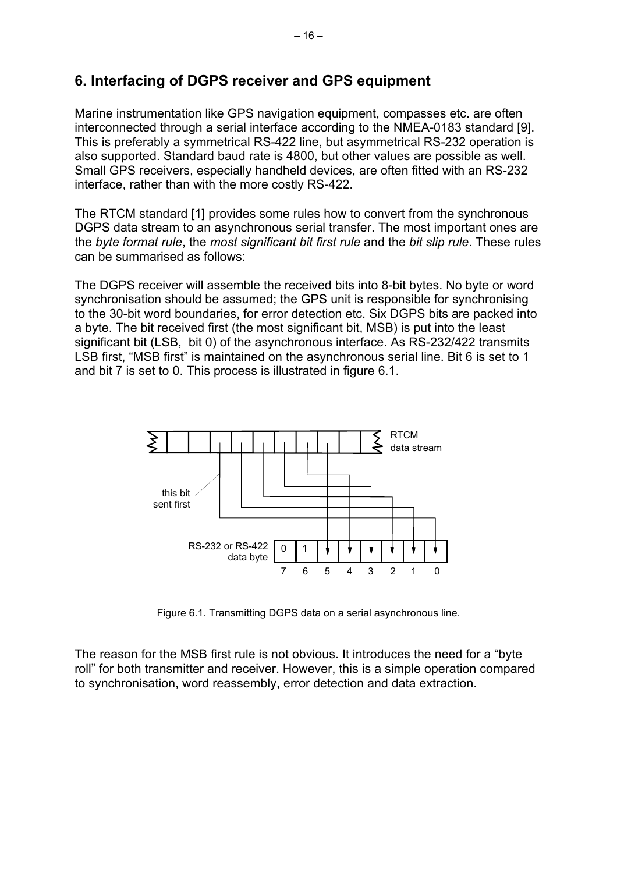# **6. Interfacing of DGPS receiver and GPS equipment**

Marine instrumentation like GPS navigation equipment, compasses etc. are often interconnected through a serial interface according to the NMEA-0183 standard [9]. This is preferably a symmetrical RS-422 line, but asymmetrical RS-232 operation is also supported. Standard baud rate is 4800, but other values are possible as well. Small GPS receivers, especially handheld devices, are often fitted with an RS-232 interface, rather than with the more costly RS-422.

The RTCM standard [1] provides some rules how to convert from the synchronous DGPS data stream to an asynchronous serial transfer. The most important ones are the *byte format rule*, the *most significant bit first rule* and the *bit slip rule*. These rules can be summarised as follows:

The DGPS receiver will assemble the received bits into 8-bit bytes. No byte or word synchronisation should be assumed; the GPS unit is responsible for synchronising to the 30-bit word boundaries, for error detection etc. Six DGPS bits are packed into a byte. The bit received first (the most significant bit, MSB) is put into the least significant bit (LSB, bit 0) of the asynchronous interface. As RS-232/422 transmits LSB first, "MSB first" is maintained on the asynchronous serial line. Bit 6 is set to 1 and bit 7 is set to 0. This process is illustrated in figure 6.1.



Figure 6.1. Transmitting DGPS data on a serial asynchronous line.

The reason for the MSB first rule is not obvious. It introduces the need for a "byte roll" for both transmitter and receiver. However, this is a simple operation compared to synchronisation, word reassembly, error detection and data extraction.